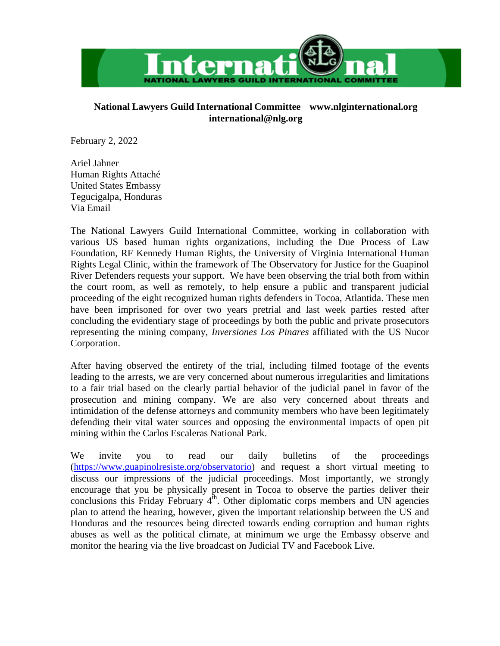

## **National Lawyers Guild International Committee [www.nlginternational.org](http://www.nlginternational.org/) [international@nlg.org](mailto:international@nlg.org)**

February 2, 2022

Ariel Jahner Human Rights Attaché United States Embassy Tegucigalpa, Honduras Via Email

The National Lawyers Guild International Committee, working in collaboration with various US based human rights organizations, including the Due Process of Law Foundation, RF Kennedy Human Rights, the University of Virginia International Human Rights Legal Clinic, within the framework of The Observatory for Justice for the Guapinol River Defenders requests your support. We have been observing the trial both from within the court room, as well as remotely, to help ensure a public and transparent judicial proceeding of the eight recognized human rights defenders in Tocoa, Atlantida. These men have been imprisoned for over two years pretrial and last week parties rested after concluding the evidentiary stage of proceedings by both the public and private prosecutors representing the mining company, *Inversiones Los Pinares* affiliated with the US Nucor Corporation.

After having observed the entirety of the trial, including filmed footage of the events leading to the arrests, we are very concerned about numerous irregularities and limitations to a fair trial based on the clearly partial behavior of the judicial panel in favor of the prosecution and mining company. We are also very concerned about threats and intimidation of the defense attorneys and community members who have been legitimately defending their vital water sources and opposing the environmental impacts of open pit mining within the Carlos Escaleras National Park.

We invite you to read our daily bulletins of the proceedings [\(https://www.guapinolresiste.org/observatorio\)](https://www.guapinolresiste.org/observatorio) and request a short virtual meeting to discuss our impressions of the judicial proceedings. Most importantly, we strongly encourage that you be physically present in Tocoa to observe the parties deliver their conclusions this Friday February  $4<sup>th</sup>$ . Other diplomatic corps members and UN agencies plan to attend the hearing, however, given the important relationship between the US and Honduras and the resources being directed towards ending corruption and human rights abuses as well as the political climate, at minimum we urge the Embassy observe and monitor the hearing via the live broadcast on Judicial TV and Facebook Live.